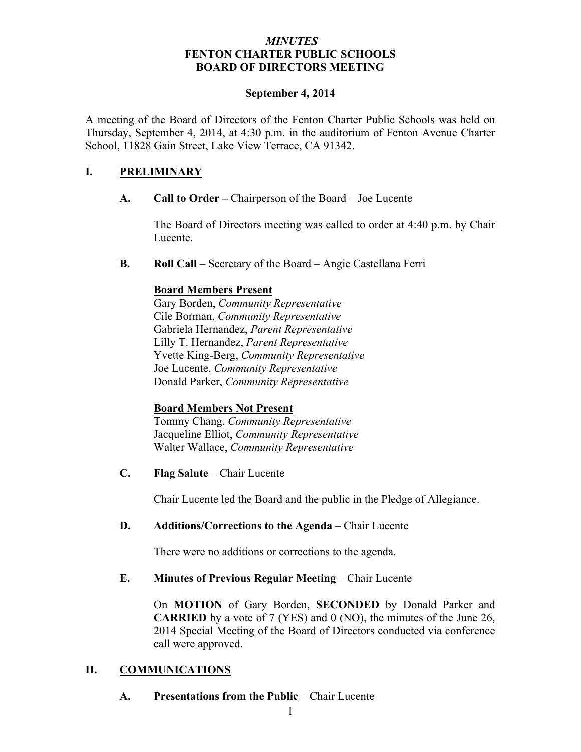## *MINUTES* **FENTON CHARTER PUBLIC SCHOOLS BOARD OF DIRECTORS MEETING**

### **September 4, 2014**

A meeting of the Board of Directors of the Fenton Charter Public Schools was held on Thursday, September 4, 2014, at 4:30 p.m. in the auditorium of Fenton Avenue Charter School, 11828 Gain Street, Lake View Terrace, CA 91342.

# **I. PRELIMINARY**

**A. Call to Order –** Chairperson of the Board – Joe Lucente

The Board of Directors meeting was called to order at 4:40 p.m. by Chair Lucente.

**B. Roll Call** – Secretary of the Board – Angie Castellana Ferri

# **Board Members Present**

Gary Borden, *Community Representative* Cile Borman, *Community Representative* Gabriela Hernandez, *Parent Representative* Lilly T. Hernandez, *Parent Representative* Yvette King-Berg, *Community Representative* Joe Lucente, *Community Representative* Donald Parker, *Community Representative*

# **Board Members Not Present**

Tommy Chang, *Community Representative* Jacqueline Elliot, *Community Representative* Walter Wallace, *Community Representative*

**C. Flag Salute** – Chair Lucente

Chair Lucente led the Board and the public in the Pledge of Allegiance.

# **D. Additions/Corrections to the Agenda** – Chair Lucente

There were no additions or corrections to the agenda.

# **E. Minutes of Previous Regular Meeting – Chair Lucente**

On **MOTION** of Gary Borden, **SECONDED** by Donald Parker and **CARRIED** by a vote of 7 (YES) and 0 (NO), the minutes of the June 26, 2014 Special Meeting of the Board of Directors conducted via conference call were approved.

# **II. COMMUNICATIONS**

**A. Presentations from the Public** – Chair Lucente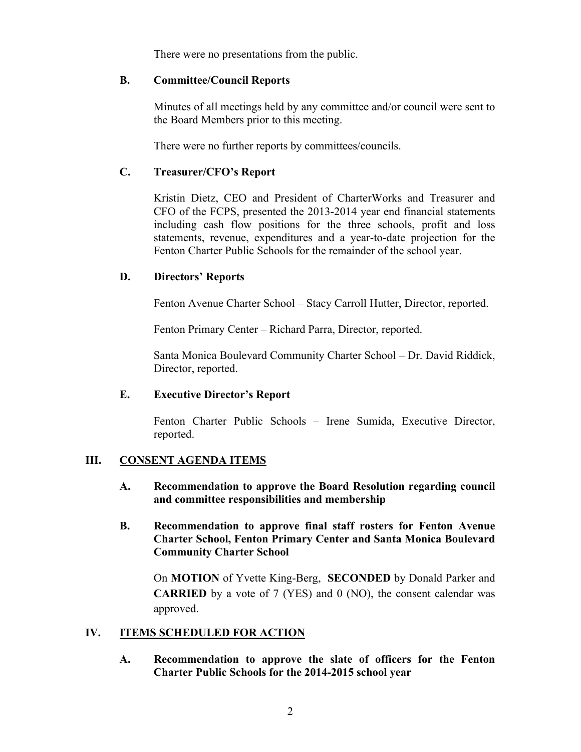There were no presentations from the public.

### **B. Committee/Council Reports**

Minutes of all meetings held by any committee and/or council were sent to the Board Members prior to this meeting.

There were no further reports by committees/councils.

## **C. Treasurer/CFO's Report**

Kristin Dietz, CEO and President of CharterWorks and Treasurer and CFO of the FCPS, presented the 2013-2014 year end financial statements including cash flow positions for the three schools, profit and loss statements, revenue, expenditures and a year-to-date projection for the Fenton Charter Public Schools for the remainder of the school year.

## **D. Directors' Reports**

Fenton Avenue Charter School – Stacy Carroll Hutter, Director, reported.

Fenton Primary Center – Richard Parra, Director, reported.

Santa Monica Boulevard Community Charter School – Dr. David Riddick, Director, reported.

### **E. Executive Director's Report**

Fenton Charter Public Schools – Irene Sumida, Executive Director, reported.

## **III. CONSENT AGENDA ITEMS**

- **A. Recommendation to approve the Board Resolution regarding council and committee responsibilities and membership**
- **B. Recommendation to approve final staff rosters for Fenton Avenue Charter School, Fenton Primary Center and Santa Monica Boulevard Community Charter School**

On **MOTION** of Yvette King-Berg, **SECONDED** by Donald Parker and **CARRIED** by a vote of 7 (YES) and 0 (NO), the consent calendar was approved.

# **IV. ITEMS SCHEDULED FOR ACTION**

**A. Recommendation to approve the slate of officers for the Fenton Charter Public Schools for the 2014-2015 school year**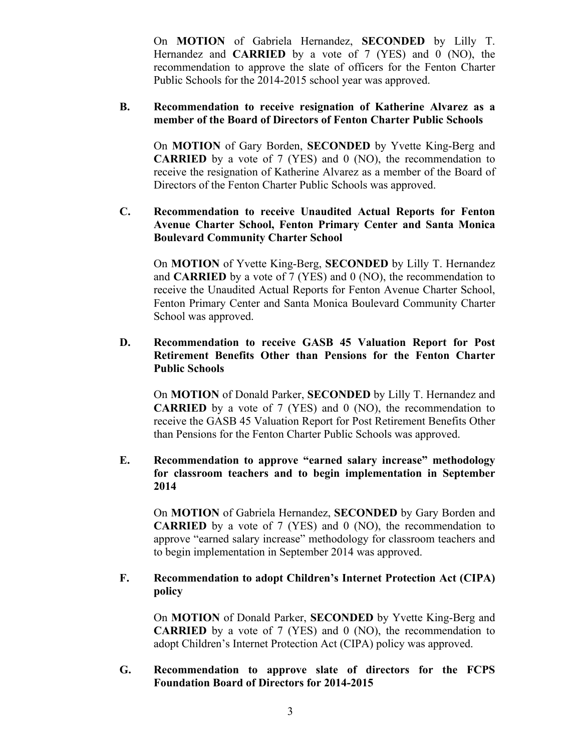On **MOTION** of Gabriela Hernandez, **SECONDED** by Lilly T. Hernandez and **CARRIED** by a vote of 7 (YES) and 0 (NO), the recommendation to approve the slate of officers for the Fenton Charter Public Schools for the 2014-2015 school year was approved.

#### **B. Recommendation to receive resignation of Katherine Alvarez as a member of the Board of Directors of Fenton Charter Public Schools**

On **MOTION** of Gary Borden, **SECONDED** by Yvette King-Berg and **CARRIED** by a vote of 7 (YES) and 0 (NO), the recommendation to receive the resignation of Katherine Alvarez as a member of the Board of Directors of the Fenton Charter Public Schools was approved.

## **C. Recommendation to receive Unaudited Actual Reports for Fenton Avenue Charter School, Fenton Primary Center and Santa Monica Boulevard Community Charter School**

On **MOTION** of Yvette King-Berg, **SECONDED** by Lilly T. Hernandez and **CARRIED** by a vote of 7 (YES) and 0 (NO), the recommendation to receive the Unaudited Actual Reports for Fenton Avenue Charter School, Fenton Primary Center and Santa Monica Boulevard Community Charter School was approved.

## **D. Recommendation to receive GASB 45 Valuation Report for Post Retirement Benefits Other than Pensions for the Fenton Charter Public Schools**

On **MOTION** of Donald Parker, **SECONDED** by Lilly T. Hernandez and **CARRIED** by a vote of 7 (YES) and 0 (NO), the recommendation to receive the GASB 45 Valuation Report for Post Retirement Benefits Other than Pensions for the Fenton Charter Public Schools was approved.

## **E. Recommendation to approve "earned salary increase" methodology for classroom teachers and to begin implementation in September 2014**

On **MOTION** of Gabriela Hernandez, **SECONDED** by Gary Borden and **CARRIED** by a vote of 7 (YES) and 0 (NO), the recommendation to approve "earned salary increase" methodology for classroom teachers and to begin implementation in September 2014 was approved.

# **F. Recommendation to adopt Children's Internet Protection Act (CIPA) policy**

On **MOTION** of Donald Parker, **SECONDED** by Yvette King-Berg and **CARRIED** by a vote of 7 (YES) and 0 (NO), the recommendation to adopt Children's Internet Protection Act (CIPA) policy was approved.

### **G. Recommendation to approve slate of directors for the FCPS Foundation Board of Directors for 2014-2015**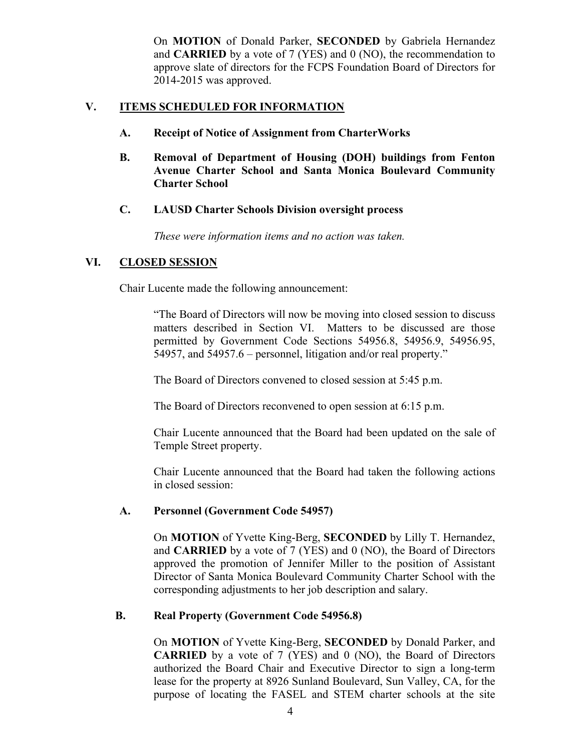On **MOTION** of Donald Parker, **SECONDED** by Gabriela Hernandez and **CARRIED** by a vote of 7 (YES) and 0 (NO), the recommendation to approve slate of directors for the FCPS Foundation Board of Directors for 2014-2015 was approved.

## **V. ITEMS SCHEDULED FOR INFORMATION**

- **A. Receipt of Notice of Assignment from CharterWorks**
- **B. Removal of Department of Housing (DOH) buildings from Fenton Avenue Charter School and Santa Monica Boulevard Community Charter School**
- **C. LAUSD Charter Schools Division oversight process**

*These were information items and no action was taken.*

## **VI. CLOSED SESSION**

Chair Lucente made the following announcement:

"The Board of Directors will now be moving into closed session to discuss matters described in Section VI. Matters to be discussed are those permitted by Government Code Sections 54956.8, 54956.9, 54956.95, 54957, and 54957.6 – personnel, litigation and/or real property."

The Board of Directors convened to closed session at 5:45 p.m.

The Board of Directors reconvened to open session at 6:15 p.m.

Chair Lucente announced that the Board had been updated on the sale of Temple Street property.

Chair Lucente announced that the Board had taken the following actions in closed session:

### **A. Personnel (Government Code 54957)**

On **MOTION** of Yvette King-Berg, **SECONDED** by Lilly T. Hernandez, and **CARRIED** by a vote of 7 (YES) and 0 (NO), the Board of Directors approved the promotion of Jennifer Miller to the position of Assistant Director of Santa Monica Boulevard Community Charter School with the corresponding adjustments to her job description and salary.

### **B. Real Property (Government Code 54956.8)**

On **MOTION** of Yvette King-Berg, **SECONDED** by Donald Parker, and **CARRIED** by a vote of 7 (YES) and 0 (NO), the Board of Directors authorized the Board Chair and Executive Director to sign a long-term lease for the property at 8926 Sunland Boulevard, Sun Valley, CA, for the purpose of locating the FASEL and STEM charter schools at the site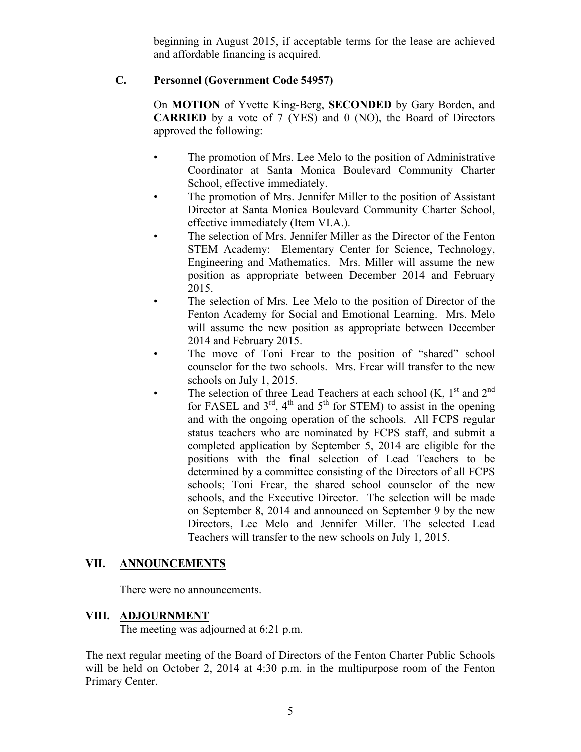beginning in August 2015, if acceptable terms for the lease are achieved and affordable financing is acquired.

# **C. Personnel (Government Code 54957)**

On **MOTION** of Yvette King-Berg, **SECONDED** by Gary Borden, and **CARRIED** by a vote of 7 (YES) and 0 (NO), the Board of Directors approved the following:

- The promotion of Mrs. Lee Melo to the position of Administrative Coordinator at Santa Monica Boulevard Community Charter School, effective immediately.
- The promotion of Mrs. Jennifer Miller to the position of Assistant Director at Santa Monica Boulevard Community Charter School, effective immediately (Item VI.A.).
- The selection of Mrs. Jennifer Miller as the Director of the Fenton STEM Academy: Elementary Center for Science, Technology, Engineering and Mathematics. Mrs. Miller will assume the new position as appropriate between December 2014 and February 2015.
- The selection of Mrs. Lee Melo to the position of Director of the Fenton Academy for Social and Emotional Learning. Mrs. Melo will assume the new position as appropriate between December 2014 and February 2015.
- The move of Toni Frear to the position of "shared" school counselor for the two schools. Mrs. Frear will transfer to the new schools on July 1, 2015.
- The selection of three Lead Teachers at each school (K,  $1<sup>st</sup>$  and  $2<sup>nd</sup>$ for FASEL and  $3<sup>rd</sup>$ ,  $4<sup>th</sup>$  and  $5<sup>th</sup>$  for STEM) to assist in the opening and with the ongoing operation of the schools. All FCPS regular status teachers who are nominated by FCPS staff, and submit a completed application by September 5, 2014 are eligible for the positions with the final selection of Lead Teachers to be determined by a committee consisting of the Directors of all FCPS schools; Toni Frear, the shared school counselor of the new schools, and the Executive Director. The selection will be made on September 8, 2014 and announced on September 9 by the new Directors, Lee Melo and Jennifer Miller. The selected Lead Teachers will transfer to the new schools on July 1, 2015.

# **VII. ANNOUNCEMENTS**

There were no announcements.

### **VIII. ADJOURNMENT**

The meeting was adjourned at 6:21 p.m.

The next regular meeting of the Board of Directors of the Fenton Charter Public Schools will be held on October 2, 2014 at 4:30 p.m. in the multipurpose room of the Fenton Primary Center.